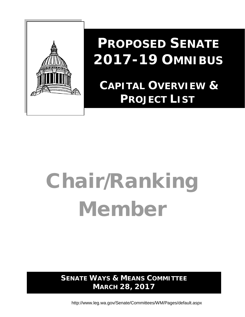

# **PROPOSED SENATE 2017-19 OMNIBUS**

# **CAPITAL OVERVIEW & PROJECT LIST**

# Chair/Ranking Member

**SENATE WAYS & MEANS COMMITTEE MARCH 28, 2017**

http://www.leg.wa.gov/Senate/Committees/WM/Pages/default.aspx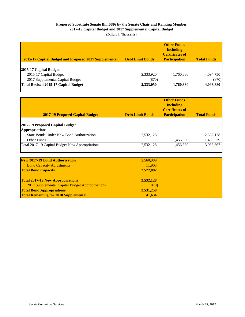#### **Proposed Substitute Senate Bill 5086 by the Senate Chair and Ranking Member 2017-19 Capital Budget and 2017 Supplemental Capital Budget**

| 2015-17 Captial Budget and Proposed 2017 Supplemental | <b>Debt Limit Bonds</b> | <b>Other Funds</b><br><b>Including</b><br><b>Certificates of</b><br><b>Participation</b> | <b>Total Funds</b> |
|-------------------------------------------------------|-------------------------|------------------------------------------------------------------------------------------|--------------------|
| 2015-17 Capital Budget                                |                         |                                                                                          |                    |
| 2015-17 Capital Budget                                | 2,333,920               | 1,760,830                                                                                | 4,094,750          |
| 2017 Supplemental Capital Budget                      | (870)                   | $\qquad \qquad \blacksquare$                                                             | (870)              |
| <b>Total Revised 2015-17 Capital Budget</b>           | 2,333,050               | 1,760,830                                                                                | 4,093,880          |
|                                                       |                         |                                                                                          |                    |

| <b>2017-19 Proposed Capital Budget</b>                   | <b>Debt Limit Bonds</b> | <b>Other Funds</b><br><b>Including</b><br><b>Certificates of</b><br><b>Participation</b> | <b>Total Funds</b> |
|----------------------------------------------------------|-------------------------|------------------------------------------------------------------------------------------|--------------------|
| 2017-19 Proposed Capital Budget<br><b>Appropriations</b> |                         |                                                                                          |                    |
| State Bonds Under New Bond Authorization                 | 2,532,128               |                                                                                          | 2,532,128          |
| <b>Other Funds</b>                                       |                         | 1,456,539                                                                                | 1,456,539          |
| Total 2017-19 Capital Budget New Appropriations          | 2,532,128               | 1,456,539                                                                                | 3,988,667          |

| <b>New 2017-19 Bond Authorization</b>           | 2,560,989 |  |
|-------------------------------------------------|-----------|--|
| <b>Bond Capacity Adjustments</b>                | 11,903    |  |
| <b>Total Bond Capacity</b>                      | 2,572,892 |  |
| <b>Total 2017-19 New Appropriations</b>         | 2,532,128 |  |
| 2017 Supplemental Capital Budget Approproations | (870)     |  |
| <b>Total Bond Appropriations</b>                | 2,531,258 |  |
| <b>Total Remaining for 2018 Supplemental</b>    | 41.634    |  |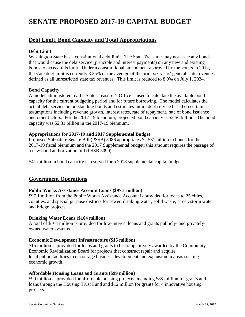# **SENATE PROPOSED 2017-19 CAPITAL BUDGET**

#### **Debt Limit, Bond Capacity and Total Appropriations**

#### **Debt Limit**

Washington State has a constitutional debt limit. The State Treasurer may not issue any bonds that would cause the debt service (principle and interest payments) on any new and existing bonds to exceed this limit. Under a constitutional amendment approved by the voters in 2012, the state debt limit is currently 8.25% of the average of the prior six years' general state revenues, defined as all unrestricted state tax revenues. This limit is reduced to 8.0% on July 1, 2034.

#### **Bond Capacity**

A model administered by the State Treasurer's Office is used to calculate the available bond capacity for the current budgeting period and for future borrowing. The model calculates the actual debt service on outstanding bonds and estimates future debt service based on certain assumptions including revenue growth, interest rates, rate of repayment, rate of bond issuance and other factors. For the 2017-19 biennium, projected bond capacity is \$2.56 billion. The bond capacity was \$2.31 billion in the 2017-19 biennium.

#### **Appropriations for 2017-19 and 2017 Supplemental Budget**

Proposed Substitute Senate Bill (PSSB) 5086 appropriates \$2.531 billion in bonds for the 2017-19 fiscal biennium and the 2017 Supplemental budget; this amount requires the passage of a new bond authorization bill (PSSB 5090).

\$41 million in bond capacity is reserved for a 2018 supplemental capital budget.

#### **Government Operations**

#### **Public Works Assistance Account Loans (\$97.1 million)**

\$97.1 million from the Public Works Assistance Account is provided for loans to 25 cities, counties, and special purpose districts for sewer, drinking water, solid waste, street, storm water and bridge projects.

#### **Drinking Water Loans (\$164 million)**

A total of \$164 million is provided for low-interest loans and grants publicly- and privatelyowned water systems.

#### **Economic Development Infrastructure (\$15 million)**

\$15 million is provided for loans and grants to be competitively awarded by the Community Economic Revitalization Board for projects that construct repair and acquire local public facilities to encourage business development and expansion in areas seeking economic growth.

#### **Affordable Housing Loans and Grants (\$99 million)**

\$99 million is provided for affordable housing projects, including \$85 million for grants and loans through the Housing Trust Fund and \$12 million for grants for 4 innovative housing projects.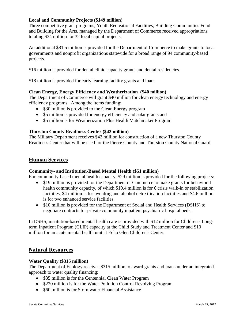#### **Local and Community Projects (\$149 million)**

Three competitive grant programs, Youth Recreational Facilities, Building Communities Fund and Building for the Arts, managed by the Department of Commerce received appropriations totaling \$34 million for 32 local capital projects.

An additional \$81.5 million is provided for the Department of Commerce to make grants to local governments and nonprofit organizations statewide for a broad range of 94 community-based projects.

\$16 million is provided for dental clinic capacity grants and dental residencies.

\$18 million is provided for early learning facility grants and loans

#### **Clean Energy, Energy Efficiency and Weatherization (\$40 million)**

The Department of Commerce will grant \$40 million for clean energy technology and energy efficiency programs. Among the items funding:

- \$30 million is provided to the Clean Energy program
- \$5 million is provided for energy efficiency and solar grants and
- \$5 million is for Weatherization Plus Health Matchmaker Program.

#### **Thurston County Readiness Center (\$42 million)**

The Military Department receives \$42 million for construction of a new Thurston County Readiness Center that will be used for the Pierce County and Thurston County National Guard.

#### **Human Services**

#### **Community- and Institution-Based Mental Health (\$51 million)**

For community-based mental health capacity, \$29 million is provided for the following projects:

- \$19 million is provided for the Department of Commerce to make grants for behavioral health community capacity, of which \$10.4 million is for 6 crisis walk-in or stabilization facilities, \$4 million is for two drug and alcohol detoxification facilities and \$4.6 million is for two enhanced service facilities.
- \$10 million is provided for the Department of Social and Health Services (DSHS) to negotiate contracts for private community inpatient psychiatric hospital beds.

In DSHS, institution-based mental health care is provided with \$12 million for Children's Longterm Inpatient Program (CLIP) capacity at the Child Study and Treatment Center and \$10 million for an acute mental health unit at Echo Glen Children's Center.

#### **Natural Resources**

#### **Water Quality (\$315 million)**

The Department of Ecology receives \$315 million to award grants and loans under an integrated approach to water quality financing:

- \$35 million is for the Centennial Clean Water Program
- \$220 million is for the Water Pollution Control Revolving Program
- \$60 million is for Stormwater Financial Assistance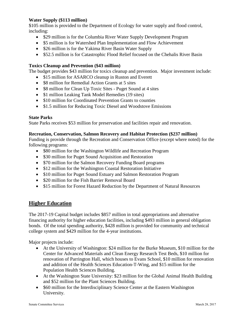#### **Water Supply (\$113 million)**

\$105 million is provided to the Department of Ecology for water supply and flood control, including:

- \$29 million is for the Columbia River Water Supply Development Program
- \$5 million is for Watershed Plan Implementation and Flow Achievement
- \$26 million is for the Yakima River Basin Water Supply
- \$52.5 million is for Catastrophic Flood Relief focused on the Chehalis River Basin

#### **Toxics Cleanup and Prevention (\$43 million)**

The budget provides \$43 million for toxics cleanup and prevention. Major investment include:

- \$15 million for ASARCO cleanup in Ruston and Everett
- \$8 million for Remedial Action Grants at 5 sites
- \$8 million for Clean Up Toxic Sites Puget Sound at 4 sites
- \$1 million Leaking Tank Model Remedies (19 sites)
- \$10 million for Coordinated Prevention Grants to counties
- \$1.5 million for Reducing Toxic Diesel and Woodstove Emissions

#### **State Parks**

State Parks receives \$53 million for preservation and facilities repair and renovation.

#### **Recreation, Conservation, Salmon Recovery and Habitat Protection (\$237 million)**

Funding is provide through the Recreation and Conservation Office (except where noted) for the following programs:

- \$80 million for the Washington Wildlife and Recreation Program
- \$30 million for Puget Sound Acquisition and Restoration
- \$70 million for the Salmon Recovery Funding Board programs
- \$12 million for the Washington Coastal Restoration Initiative
- \$10 million for Puget Sound Estuary and Salmon Restoration Program
- \$20 million for the Fish Barrier Removal Board
- \$15 million for Forest Hazard Reduction by the Department of Natural Resources

### **Higher Education**

The 2017-19 Capital budget includes \$857 million in total appropriations and alternative financing authority for higher education facilities, including \$493 million in general obligation bonds. Of the total spending authority, \$428 million is provided for community and technical college system and \$429 million for the 4-year institutions.

Major projects include:

- At the University of Washington: \$24 million for the Burke Museum, \$10 million for the Center for Advanced Materials and Clean Energy Research Test Beds, \$10 million for renovation of Parrington Hall, which houses to Evans School, \$10 million for renovation and addition of the Health Sciences Education-T-Wing, and \$15 million for the Population Health Sciences Building.
- At the Washington State University: \$23 million for the Global Animal Health Building and \$52 million for the Plant Sciences Building.
- \$60 million for the Interdisciplinary Science Center at the Eastern Washington University.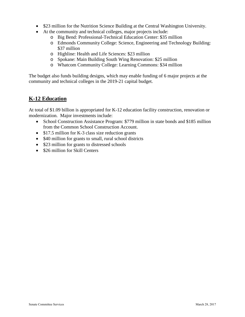- \$23 million for the Nutrition Science Building at the Central Washington University.
- At the community and technical colleges, major projects include:
	- o Big Bend: Professional-Technical Education Center: \$35 million
	- o Edmonds Community College: Science, Engineering and Technology Building: \$37 million
	- o Highline: Health and Life Sciences: \$23 million
	- o Spokane: Main Building South Wing Renovation: \$25 million
	- o Whatcom Community College: Learning Commons: \$34 million

The budget also funds building designs, which may enable funding of 6 major projects at the community and technical colleges in the 2019-21 capital budget.

## **K-12 Education**

At total of \$1.09 billion is appropriated for K-12 education facility construction, renovation or modernization. Major investments include:

- School Construction Assistance Program: \$779 million in state bonds and \$185 million from the Common School Construction Account.
- \$17.5 million for K-3 class size reduction grants
- \$40 million for grants to small, rural school districts
- \$23 million for grants to distressed schools
- \$26 million for Skill Centers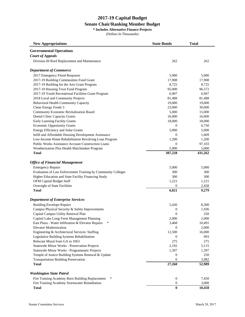#### **Senate Chair/Ranking Member Budget**

**\* Includes Alternative Finance Projects**

| <b>New Appropriations</b>                                    | <b>State Bonds</b> | <b>Total</b> |
|--------------------------------------------------------------|--------------------|--------------|
| <b>Governmental Operations</b>                               |                    |              |
| <b>Court of Appeals</b>                                      |                    |              |
| Division III Roof Replacement and Maintenance                | 262                | 262          |
| <b>Department of Commerce</b>                                |                    |              |
| 2017 Emergency Flood Response                                | 5,000              | 5,000        |
| 2017-19 Building Communities Fund Grant                      | 17,908             | 17,908       |
| 2017-19 Building for the Arts Grant Program                  | 8,725              | 8,725        |
| 2017-19 Housing Trust Fund Program                           | 95,000             | 96,572       |
| 2017-19 Youth Recreational Facilities Grant Program          | 6,907              | 6,907        |
| 2018 Local and Community Projects                            | 81,488             | 81,488       |
| Behavioral Health Community Capacity                         | 19,000             | 19,000       |
| Clean Energy Funds 3                                         | 23,000             | 30,000       |
| Community Economic Revitalization Board                      | 5,000              | 15,000       |
| <b>Dental Clinic Capacity Grants</b>                         | 16,000             | 16,000       |
| Early Learning Facility Grants                               | 18,000             | 18,000       |
| <b>Economic Opportunity Grants</b>                           | 0                  | 6,750        |
| Energy Efficiency and Solar Grants                           | 5,000              | 5,000        |
| Infill and Affordable Housing Development Assistance         | $\Omega$           | 1,609        |
| Low-Income Home Rehabilitation Revolving Loan Program        | 1,200              | 1,200        |
| <b>Public Works Assistance Account Construction Loans</b>    | 0                  | 97,103       |
| Weatherization Plus Health Matchmaker Program                | 5,000              | 5,000        |
| <b>Total</b>                                                 | 307,228            | 431,262      |
| <b>Office of Financial Management</b>                        |                    |              |
| <b>Emergency Repairs</b>                                     | 5,000              | 5,000        |
| Evaluation of Law Enforcement Training by Community Colleges | 300                | 300          |
| Higher Education and State Facility Financing Study          | 300                | 300          |
| OFM Capital Budget Staff                                     | 1,221              | 1,221        |
| Oversight of State Facilities                                | 0                  | 2,458        |
| <b>Total</b>                                                 | 6,821              | 9,279        |
| <b>Department of Enterprise Services</b>                     |                    |              |
| <b>Building Envelope Repairs</b>                             | 5,436              | 8,300        |
| Campus Physical Security & Safety Improvements               | 0                  | 1,936        |
| Capital Campus Utility Renewal Plan                          | $\mathbf{0}$       | 250          |
| Capitol Lake Long-Term Management Planning                   | 2,000              | 2,000        |
| East Plaza - Water Infiltration & Elevator Repairs<br>*      | 3,468              | 10,491       |
| <b>Elevator Modernization</b>                                | 0                  | 2,000        |
| Engineering & Architectural Services: Staffing               | 12,500             | 16,000       |
| Legislative Building Systems Rehabilitation                  | 0                  | 993          |
| Relocate Mural from GA to 1063                               | 275                | 275          |
| <b>Statewide Minor Works - Preservation Projects</b>         | 2,192              | 5,115        |
| Statewide Minor Works - Programmatic Projects                | 1,397              | 1,397        |
| Temple of Justice Building Systems Renewal & Update          | 0                  | 250          |
| <b>Transportation Building Preservation</b>                  | $\overline{0}$     | 3,982        |
| <b>Total</b>                                                 | 27,268             | 52,989       |
|                                                              |                    |              |
| <b>Washington State Patrol</b><br>∗                          |                    |              |
| Fire Training Academy Burn Building Replacement              | $\boldsymbol{0}$   | 7,450        |
| Fire Training Academy Stormwater Remediation                 | 0                  | 3,000        |
| <b>Total</b>                                                 | $\bf{0}$           | 10,450       |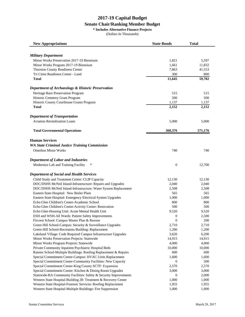#### **Senate Chair/Ranking Member Budget**

**\* Includes Alternative Finance Projects**

| <b>New Appropriations</b>                                         | <b>State Bonds</b> | Total   |
|-------------------------------------------------------------------|--------------------|---------|
|                                                                   |                    |         |
| <b>Military Department</b>                                        |                    |         |
| Minor Works Preservation 2017-19 Biennium                         | 1,821              | 5,597   |
| Minor Works Program 2017-19 Biennium                              | 1,661              | 11,832  |
| Thurston County Readiness Center                                  | 7,863              | 41,553  |
| Tri Cities Readiness Center - Land                                | 300                | 800     |
| <b>Total</b>                                                      | 11,645             | 59,782  |
| <b>Department of Archaeology &amp; Historic Preservation</b>      |                    |         |
| Heritage Barn Preservation Program                                | 515                | 515     |
| Historic Cemetery Grant Program                                   | 500                | 500     |
| Historic County Courthouse Grants Program                         | 1,137              | 1,137   |
| <b>Total</b>                                                      | 2,152              | 2,152   |
|                                                                   |                    |         |
| <b>Department of Transportation</b>                               |                    |         |
| <b>Aviation Revitalization Loans</b>                              | 5,000              | 5,000   |
| <b>Total Governmental Operations</b>                              | 360,376            | 571,176 |
|                                                                   |                    |         |
| <b>Human Services</b>                                             |                    |         |
| <b>WA State Criminal Justice Training Commission</b>              |                    |         |
| <b>Omnibus Minor Works</b>                                        | 740                | 740     |
|                                                                   |                    |         |
| <b>Department of Labor and Industries</b>                         |                    |         |
| Modernize Lab and Training Facility<br>∗                          | $\mathbf{0}$       | 12,700  |
| <b>Department of Social and Health Services</b>                   |                    |         |
| Child Study and Treatment Center: CLIP Capacity                   | 12,130             | 12,130  |
| DOC/DSHS McNeil Island-Infrastructure: Repairs and Upgrades       | 2,040              | 2,040   |
| DOC/DSHS McNeil Island-Infrastructure: Water System Replacement   | 2,508              | 2,508   |
| Eastern State Hospital: New Boiler Plant                          | 565                | 565     |
| Eastern State Hospital: Emergency Electrical System Upgrades      | 1,000              | 1,000   |
| Echo Glen Children's Center-Academic School                       | 800                | 800     |
| Echo Glen Children's Center-Activity Center: Renovation           | 500                | 500     |
| Echo Glen-Housing Unit: Acute Mental Health Unit                  | 9,520              | 9,520   |
| ESH and WSH-All Wards: Patient Safety Improvements                | 0                  | 2,500   |
| Fircrest School: Campus Master Plan & Rezone                      | $\overline{0}$     | 200     |
| Green Hill School-Campus: Security & Surveillance Upgrades        | 2,710              | 2,710   |
| Green Hill School-Recreation Building: Replacement                | 1,200              | 1,200   |
| Lakeland Village: Code Required Campus Infrastructure Upgrades    | 3,620              | 6,200   |
| Minor Works Preservation Projects: Statewide                      | 14,915             | 14,915  |
| Minor Works Program Projects: Statewide                           | 4,000              | 4,000   |
| Private Community Inpatient Psychiatric Hospital Beds             | 10,000             | 10,000  |
| Rainier School-Multiple Buildings: Roofing Replacement & Repairs  | 600                | 600     |
| Special Commitment Center-Campus: HVAC Units Replacement          | 1,600              | 1,600   |
| Special Commitment Center-Community Facilities: New Capacity      | 0                  | 500     |
| Special Commitment Center-King County SCTF: Expansion             | 2,570              | 2,570   |
| Special Commitment Center: Kitchen & Dining Room Upgrades         | 3,000              | 3,000   |
| Statewide-RA Community Facilities: Safety & Security Improvements | 0                  | 2,000   |
| Western State Hospital-Building 28: Treatment & Recovery Center   | 1,000              | 1,000   |
| Western State Hospital-Forensic Services: Roofing Replacement     | 1,955              | 1,955   |
| Western State Hospital-Multiple Buildings: Fire Suppression       | 1,000              | 1,000   |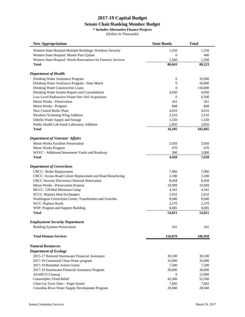#### **Senate Chair/Ranking Member Budget**

**\* Includes Alternative Finance Projects**

| <b>New Appropriations</b>                                       | <b>State Bonds</b> | Total            |
|-----------------------------------------------------------------|--------------------|------------------|
| Western State Hospital-Multiple Buildings: Windows Security     | 1,250              | 1,250            |
| Western State Hospital: Master Plan Update                      | 0                  | 400              |
| Western State Hospital: Wards Renovations for Forensic Services | 1,560              | 1,560            |
| <b>Total</b>                                                    | 80,043             | 88,223           |
| <b>Department of Health</b>                                     |                    |                  |
| Drinking Water Assistance Program                               | $\boldsymbol{0}$   | 32,000           |
| Drinking Water Assistance Program - State Match                 | 0                  | 10,000           |
| Drinking Water Construction Loans                               | $\Omega$           | 118,000          |
| Drinking Water System Repairs and Consolidation                 | 4,050              | 4,050            |
| Low-Level Radioactive Waste Site: Soil Acquisition              | $\mathbf{0}$       | 6,500            |
| Minor Works - Preservation                                      | 261                | 261              |
| Minor Works - Program                                           | 868                | 868              |
| New Central Boiler Plant                                        | 4,016              | 4,016            |
| Newborn Screening Wing Addition                                 | 2,510              | 2,510            |
| Othello Water Supply and Storage                                | 1,550              | 1,550            |
| Public Health Lab South Laboratory Addition                     | 2,850              |                  |
| Total                                                           | 16,105             | 2,850<br>182,605 |
|                                                                 |                    |                  |
| <b>Department of Veterans' Affairs</b>                          |                    |                  |
| Minor Works Facilities Preservation                             | 3,950              | 3,950            |
| Minor Works Program                                             | 670                | 670              |
| WSVC - Additional Internment Vaults and Roadway                 | 300                | 3,000            |
| Total                                                           | 4,920              | 7,620            |
| <b>Department of Corrections</b>                                |                    |                  |
| CBCC: Boiler Replacement                                        | 7,006              | 7,006            |
| CBCC: Access Road Culvert Replacement and Road Resurfacing      | 2,180              | 2,180            |
| CRCC Security Electronics Network Renovation                    | 8,458              | 8,458            |
| Minor Works - Preservation Projects                             | 10,909             | 10,909           |
| MLCC: 128 Bed Minimum Camp                                      | 4,341              | 4,341            |
| <b>SCCC: Replace Heat Exchangers</b>                            | 2,032              | 2,032            |
| Washington Corrections Center: Transformers and Switches        | 8,940              | 8,940            |
| WCC: Replace Roofs                                              | 2,270              | 2,270            |
| WSP: Program and Support Building                               | 8,685              | 8,685            |
| <b>Total</b>                                                    | 54,821             | 54,821           |
| <b>Employment Security Department</b>                           |                    |                  |
| <b>Building Systems Preservation</b>                            | 241                | 241              |
| <b>Total Human Services</b>                                     | 156,870            | 346,950          |
| <b>Natural Resources</b>                                        |                    |                  |
| <b>Department of Ecology</b>                                    |                    |                  |
| 2015-17 Restored Stormwater Financial Assistance                | 30,100             | 30,100           |
| 2017-19 Centennial Clean Water program                          | 35,000             | 35,000           |
| 2017-19 Remedial Action Grants                                  | 7,500              | 7,500            |
| 2017-19 Stormwater Financial Assistance Program                 | 30,000             | 30,000           |
| <b>ASARCO</b> Cleanup                                           | $\sigma$           | 15,000           |
| Catastrophic Flood Relief                                       | 42,500             | 52,500           |
| Clean Up Toxic Sites - Puget Sound                              | 7,682              | 7,682            |
| Columbia River Water Supply Development Program                 | 26,940             | 28,940           |
|                                                                 |                    |                  |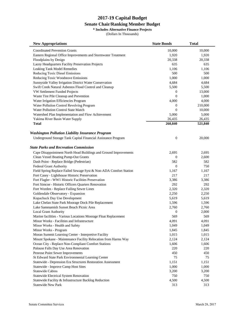#### **Senate Chair/Ranking Member Budget**

**\* Includes Alternative Finance Projects**

| <b>New Appropriations</b>                                         | <b>State Bonds</b> | <b>Total</b> |
|-------------------------------------------------------------------|--------------------|--------------|
| <b>Coordinated Prevention Grants</b>                              | 10,000             | 10,000       |
| Eastern Regional Office Improvements and Stormwater Treatment     | 1,920              | 1,920        |
| Floodplains by Design                                             | 20,338             | 20,338       |
| Lacey Headquarters Facility Preservation Projects                 | 635                | 635          |
| <b>Leaking Tank Model Remedies</b>                                | 1,106              | 1,106        |
| Reducing Toxic Diesel Emissions                                   | 500                | 500          |
| Reducing Toxic Woodstove Emissions                                | 1,000              | 1,000        |
| Sunnyside Valley Irrigation District Water Conservation           | 4,684              | 4,684        |
| Swift Creek Natural Asbestos Flood Control and Cleanup            | 5,500              | 5,500        |
| VW Settlement Funded Projects                                     | 0                  | 13,000       |
| Waste Tire Pile Cleanup and Prevention                            | $\mathbf{0}$       | 1,000        |
| Water Irrigation Efficiencies Program                             | 4,000              | 4,000        |
| Water Pollution Control Revolving Program                         | 0                  | 210,000      |
| <b>Water Pollution Control State Match</b>                        | $\boldsymbol{0}$   | 10,000       |
| Watershed Plan Implementation and Flow Achievement                | 5,000              | 5,000        |
| Yakima River Basin Water Supply                                   | 26,435             | 26,435       |
| Total                                                             | 260,840            | 521,840      |
|                                                                   |                    |              |
| <b>Washington Pollution Liability Insurance Program</b>           |                    |              |
| Underground Storage Tank Capital Financial Assistance Program     | $\boldsymbol{0}$   | 20,000       |
| <b>State Parks and Recreation Commission</b>                      |                    |              |
| Cape Disappointment North Head Buildings and Ground Improvements  | 2,695              | 2,695        |
| Clean Vessel Boating Pump-Out Grants                              | $\mathbf{0}$       | 2,600        |
| Dash Point - Replace Bridge (Pedestrian)                          | 582                | 582          |
| Federal Grant Authority                                           | $\overline{0}$     | 750          |
| Field Spring Replace Failed Sewage Syst & Non-ADA Comfort Station | 1,167              | 1,167        |
| Fort Casey - Lighthouse Historic Preservation                     | 217                | 217          |
| Fort Flagler - WW1 Historic Facilities Preservation               | 3,386              | 3,386        |
| Fort Simcoe - Historic Officers Quarters Renovation               | 292                | 292          |
| Fort Worden - Replace Failing Sewer Lines                         | 2,320              | 2,320        |
| Goldendale Observatory - Expansion                                | 2,250              | 2,250        |
| Kopachuck Day Use Development                                     | 5,619              | 5,619        |
| Lake Chelan State Park Moorage Dock Pile Replacement              | 1,596              | 1,596        |
| Lake Sammamish Sunset Beach Picnic Area                           | 2,760              | 2,760        |
| <b>Local Grant Authority</b>                                      | $\mathbf{0}$       | 2,000        |
| Marine facilities - Various Locations Moorage Float Replacement   | 569                | 569          |
| Minor Works - Facilities and Infrastructure                       | 4,091              | 4,091        |
| Minor Works - Health and Safety                                   | 1,049              | 1,049        |
| Minor Works - Program                                             | 1,845              | 1,845        |
| Moran Summit Learning Center - Interpretive Facility              | 1,015              | 1,015        |
| Mount Spokane - Maintenance Facility Relocation from Harms Way    | 2,124              | 2,124        |
| Ocean City - Replace Non-Compliant Comfort Stations               | 1,606              | 1,606        |
| Palouse Falls Day Use Area Renovation                             | 220                | 220          |
| Penrose Point Sewer Improvements                                  | 450                | 450          |
| St Edward State Park Environmental Learning Center                | 75                 | 75           |
| Statewide - Depression Era Structures Restoration Assessment      | 1,151              | 1,151        |
| Statewide - Improve Camp Host Sites                               | 1,000              | 1,000        |
| <b>Statewide Cabins</b>                                           | 3,200              | 3,200        |
| Statewide Electrical System Renovation                            | 750                | 750          |
| Statewide Facility & Infrastructure Backlog Reduction             | 4,500              | 4,500        |
| <b>Statewide New Park</b>                                         | 313                | 313          |
|                                                                   |                    |              |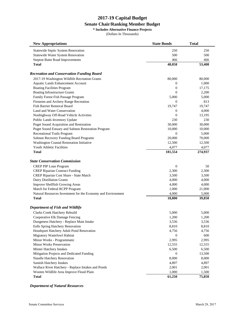#### **Senate Chair/Ranking Member Budget**

**\* Includes Alternative Finance Projects**

(Dollars In Thousands)

| <b>New Appropriations</b>                                    | <b>State Bonds</b> | Total   |
|--------------------------------------------------------------|--------------------|---------|
| Statewide Septic System Renovation                           | 250                | 250     |
| Statewide Water System Renovation                            | 500                | 500     |
| Steptoe Butte Road Improvements                              | 466                | 466     |
| <b>Total</b>                                                 | 48,058             | 53,408  |
| <b>Recreation and Conservation Funding Board</b>             |                    |         |
| 2017-19 Washington Wildlife Recreation Grants                | 80,000             | 80,000  |
| <b>Aquatic Lands Enhancement Account</b>                     | $\mathbf{0}$       | 1,000   |
| <b>Boating Facilities Program</b>                            | $\boldsymbol{0}$   | 17,175  |
| <b>Boating Infrastructure Grants</b>                         | $\overline{0}$     | 2,200   |
| Family Forest Fish Passage Program                           | 5,000              | 5,000   |
| Firearms and Archery Range Recreation                        | $\mathbf{0}$       | 813     |
| Fish Barrier Removal Board                                   | 19,747             | 19,747  |
| Land and Water Conservation                                  | $\mathbf{0}$       | 4,000   |
| Nonhighway Off-Road Vehicle Activities                       | $\overline{0}$     | 13,195  |
| Public Lands Inventory Update                                | 230                | 230     |
| Puget Sound Acquisition and Restoration                      | 30,000             | 30,000  |
| Puget Sound Estuary and Salmon Restoration Program           | 10,000             | 10,000  |
| <b>Recreational Trails Program</b>                           | $\mathbf{0}$       | 5,000   |
| Salmon Recovery Funding Board Programs                       | 20,000             | 70,000  |
| Washington Coastal Restoration Initiative                    | 12,500             | 12,500  |
| Youth Athletic Facilities                                    | 4,077              | 4,077   |
| Total                                                        | 181,554            | 274,937 |
| <b>State Conservation Commission</b>                         |                    |         |
| <b>CREP PIP Loan Program</b>                                 | $\mathbf{0}$       | 50      |
| <b>CREP Riparian Contract Funding</b>                        | 2,300              | 2,300   |
| CREP Riparian Cost Share - State Match                       | 3,500              | 3,500   |
| Dairy Distillation Grants                                    | 4,000              | 4,000   |
| Improve Shellfish Growing Areas                              | 4,000              | 4,000   |
| Match for Federal RCPP Program                               | 1,000              | 21,000  |
| Natural Resources Investment for the Economy and Environment | 4,000              | 5,000   |
| <b>Total</b>                                                 | 18,800             | 39,850  |
| Department of Fish and Wildlife                              |                    |         |
| Clarks Creek Hatchery Rebuild                                | 5,000              | 5,000   |
| Cooperative Elk Damage Fencing                               | 1,200              | 1,200   |
| Dungeness Hatchery - Replace Main Intake                     | 3,536              | 3,536   |
| Eells Spring Hatchery Renovation                             | 8,810              | 8,810   |
| Hoodsport Hatchery Adult Pond Renovation                     | 4,756              | 4,756   |
| Migratory Waterfowl Habitat                                  | 0                  | 600     |
| Minor Works - Programmatic                                   | 2,995              | 2,995   |
| Minor Works Preservation                                     | 12,555             | 12,555  |
| Minter Hatchery Intakes                                      | 6,500              | 6,500   |
| Mitigation Projects and Dedicated Funding                    | $\boldsymbol{0}$   | 13,500  |
| Naselle Hatchery Renovation                                  | 8,000              | 8,000   |
| Samish Hatchery Intakes                                      | 4,897              | 4,897   |
| Wallace River Hatchery - Replace Intakes and Ponds           | 2,001              | 2,001   |
| Wooten Wildlife Area Improve Flood Plain                     | 1,000              | 1,500   |
| <b>Total</b>                                                 | 61,250             | 75,850  |

#### *Department of Natural Resources*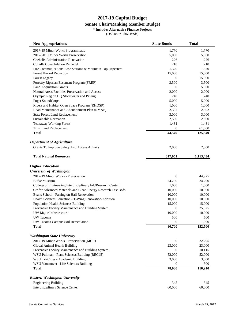#### **Senate Chair/Ranking Member Budget**

**\* Includes Alternative Finance Projects**

| <b>New Appropriations</b>                                      | <b>State Bonds</b> | Total     |
|----------------------------------------------------------------|--------------------|-----------|
| 2017-19 Minor Works Programmatic                               | 1,770              | 1,770     |
| 2017-2019 Minor Works Preservation                             | 5,000              | 5,000     |
| <b>Chehalis Administration Renovation</b>                      | 226                | 226       |
| <b>Colville Consolidation Remodel</b>                          | 210                | 210       |
| Fire Communications Base Stations & Mountain Top Repeaters     | 1,320              | 1,320     |
| <b>Forest Hazard Reduction</b>                                 | 15,000             | 15,000    |
| <b>Forest Legacy</b>                                           | $\overline{0}$     | 15,000    |
| Forestry Riparian Easement Program (FREP)                      | 3,500              | 3,500     |
| <b>Land Acquisition Grants</b>                                 | $\overline{0}$     | 5,000     |
| Natural Areas Facilities Preservation and Access               | 2,000              | 2,000     |
| Olympic Region HQ Stormwater and Paving                        | 240                | 240       |
| <b>Puget SoundCorps</b>                                        | 5,000              | 5,000     |
| Rivers and Habitat Open Space Program (RHOSP)                  | 1,000              | 1,000     |
| Road Maintenance and Abandonment Plan (RMAP)                   | 2,302              | 2,302     |
| <b>State Forest Land Replacement</b>                           | 3,000              | 3,000     |
| <b>Sustainable Recreation</b>                                  | 2,500              | 2,500     |
| Teanaway Working Forest                                        | 1,481              | 1,481     |
| <b>Trust Land Replacement</b>                                  | $\mathbf{0}$       | 61,000    |
| <b>Total</b>                                                   | 44,549             | 125,549   |
| <b>Department of Agriculture</b>                               |                    |           |
| Grants To Improve Safety And Access At Fairs                   | 2,000              | 2,000     |
| <b>Total Natural Resources</b>                                 | 617,051            | 1,113,434 |
| <b>Higher Education</b>                                        |                    |           |
| <b>University of Washington</b>                                |                    |           |
| 2017-19 Minor Works - Preservation                             | 0                  | 44,975    |
| <b>Burke Museum</b>                                            | 24,200             | 24,200    |
| College of Engineering Interdisciplinary Ed./Research Center I | 1,000              | 1,000     |
| Ctr for Advanced Materials and Clean Energy Research Test Beds | 10,000             | 10,000    |
| Evans School - Parrington Hall Renovation                      | 10,000             | 10,000    |
| Health Sciences Education - T-Wing Renovation/Addition         | 10,000             | 10,000    |
| Population Health Sciences Building                            | 15,000             | 15,000    |
| Preventive Facility Maintenance and Building System            | 0                  | 25,825    |
| UW Major Infrastructure                                        | 10,000             | 10,000    |
| <b>UW</b> Tacoma                                               | 500                | 500       |
| UW Tacoma Campus Soil Remediation                              | $\boldsymbol{0}$   | 1,000     |
| Total                                                          | 80,700             | 152,500   |
| <b>Washington State University</b>                             |                    |           |
| 2017-19 Minor Works - Preservation (MCR)                       | $\overline{0}$     | 22,295    |
| Global Animal Health Building                                  | 23,000             | 23,000    |
| Preventive Facility Maintenance and Building System            | 0                  | 10,115    |
| WSU Pullman - Plant Sciences Building (REC#5)                  | 52,000             | 52,000    |
| WSU Tri-Cities - Academic Building                             | 3,000              | 3,000     |
| WSU Vancouver - Life Sciences Building                         | 0                  | 500       |
| <b>Total</b>                                                   | 78,000             | 110,910   |
| <b>Eastern Washington University</b>                           |                    |           |
| <b>Engineering Building</b>                                    | 345                | 345       |
| Interdisciplinary Science Center                               | 60,000             | 60,000    |
|                                                                |                    |           |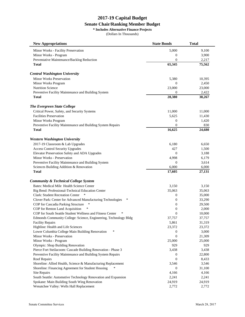#### **Senate Chair/Ranking Member Budget**

**\* Includes Alternative Finance Projects**

| <b>New Appropriations</b>                                             | <b>State Bonds</b> | Total  |
|-----------------------------------------------------------------------|--------------------|--------|
| Minor Works - Facility Preservation                                   | 5,000              | 9,100  |
| Minor Works - Program                                                 | 0                  | 3,900  |
| Preventative Maintenance/Backlog Reduction                            | $\boldsymbol{0}$   | 2,217  |
| <b>Total</b>                                                          | 65,345             | 75,562 |
| <b>Central Washington University</b>                                  |                    |        |
| <b>Minor Works Preservation</b>                                       | 5,380              | 10,395 |
| Minor Works Program                                                   | $\mathbf{0}$       | 2,450  |
| Nutrition Science                                                     | 23,000             | 23,000 |
| Preventive Facility Maintenance and Building System                   | $\overline{0}$     | 2,422  |
| <b>Total</b>                                                          | 28,380             | 38,267 |
| <b>The Evergreen State College</b>                                    |                    |        |
| Critical Power, Safety, and Security Systems                          | 11,000             | 11,000 |
| <b>Facilities Preservation</b>                                        | 5,625              | 11,430 |
| Minor Works Program                                                   | $\overline{0}$     | 1,420  |
| Preventive Facility Maintenance and Building System Repairs           | $\overline{0}$     | 830    |
| Total                                                                 | 16,625             | 24,680 |
| <b>Western Washington University</b>                                  |                    |        |
| 2017-19 Classroom & Lab Upgrades                                      | 6,180              | 6,650  |
| <b>Access Control Security Upgrades</b>                               | 427                | 1,500  |
| Elevator Preservation Safety and ADA Upgrades                         | 0                  | 3,188  |
| Minor Works - Preservation                                            | 4,998              | 6,179  |
| Preventive Facility Maintenance and Building System                   | $\boldsymbol{0}$   | 3,614  |
| Sciences Building Addition & Renovation                               | 6,000              | 6,000  |
| Total                                                                 | 17,605             | 27,131 |
| <b>Community &amp; Technical College System</b>                       |                    |        |
| Bates: Medical Mile Health Science Center                             | 3,150              | 3,150  |
| Big Bend: Professional-Technical Education Center                     | 35,063             | 35,063 |
| ∗<br><b>Clark: Student Recreation Center</b>                          | 0                  | 35,000 |
| Clover Park: Center for Advanced Manufacturing Technologies<br>$\ast$ | 0                  | 33,290 |
| COP for Cascadia Parking Structure<br>∗                               | $\overline{0}$     | 29,500 |
| COP for Renton Land Acquisition                                       | $\overline{0}$     | 2,000  |
| COP for South Seattle Student Wellness and Fitness Center             | $\overline{0}$     | 10,000 |
| Edmonds Community College: Science, Engineering, Technology Bldg      | 37,757             | 37,757 |
| <b>Facility Repairs</b>                                               | 5,861              | 31,319 |
| Highline: Health and Life Sciences                                    | 23,372             | 23,372 |
| Lower Columbia College Main Building Renovation<br>∗                  | 0                  | 3,000  |
| Minor Works - Preservation                                            | 0                  | 21,309 |
| Minor Works - Program                                                 | 25,000             | 25,000 |
| Olympic: Shop Building Renovation                                     | 929                | 929    |
| Pierce Fort Steilacoom: Cascade Building Renovation - Phase 3         | 3,438              | 3,438  |
| Preventive Facility Maintenance and Building System Repairs           | 0                  | 22,800 |
| Roof Repairs                                                          | $\overline{0}$     | 8,433  |
| Shoreline: Allied Health, Science & Manufacturing Replacement         | 3,546              | 3,546  |
| Shoreline: Financing Agreement for Student Housing                    | $\mathbf{0}$       | 31,100 |
| <b>Site Repairs</b>                                                   | 4,166              | 4,166  |
| South Seattle: Automotive Technology Renovation and Expansion         | 2,241              | 2,241  |
| Spokane: Main Building South Wing Renovation                          | 24,919             | 24,919 |
| Wenatchee Valley: Wells Hall Replacement                              | 2,772              | 2,772  |
|                                                                       |                    |        |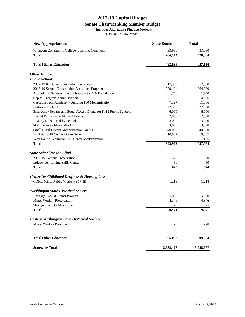#### **Senate Chair/Ranking Member Budget**

**\* Includes Alternative Finance Projects**

| <b>New Appropriations</b>                                         | <b>State Bonds</b> | <b>Total</b> |
|-------------------------------------------------------------------|--------------------|--------------|
| <b>Whatcom Community College: Learning Commons</b>                | 33,960             | 33,960       |
| <b>Total</b>                                                      | 206,174            | 428,064      |
| <b>Total Higher Education</b>                                     | 492,829            | 857,114      |
| <b>Other Education</b>                                            |                    |              |
| <b>Public Schools</b>                                             |                    |              |
| 2017-19 K-3 Class Size Reduction Grants                           | 17,500             | 17,500       |
| 2017-19 School Construction Assistance Program                    | 779,104            | 964,880      |
| Agricultural Science in Schools Grant to FFA Foundation           | 1,750              | 1,750        |
| Capital Program Administration                                    | $\mathbf{0}$       | 4,656        |
| Cascadia Tech Academy - Building 100 Modernization                | 7,327              | 11,886       |
| Distressed Schools                                                | 22,300             | 22,300       |
| Emergency Repairs and Equal Access Grants for K-12 Public Schools | 6,000              | 6,000        |
| Everett Pathways to Medical Education                             | 2,000              | 2,000        |
| Healthy Kids / Healthy Schools                                    | 3,000              | 3,000        |
| Skill Centers - Minor Works                                       | 3,000              | 3,000        |
| <b>Small Rural District Modernization Grants</b>                  | 40,000             | 40,000       |
| Tri-Tech Skill Center - Core Growth                               | 10,807             | 10,807       |
| West Sound Technical Skill Center Modernization                   | 185                | 185          |
| <b>Total</b>                                                      | 892,973            | 1,087,964    |
| <b>State School for the Blind</b>                                 |                    |              |
| 2017-19 Campus Preservation                                       | 570                | 570          |
| Independent Living Skills Center                                  | 50                 | 50           |
| <b>Total</b>                                                      | 620                | 620          |
| <b>Center for Childhood Deafness &amp; Hearing Loss</b>           |                    |              |
| <b>CDHL Minor Public Works FY17-19</b>                            | 1,218              | 1,218        |
| <b>Washington State Historical Society</b>                        |                    |              |
| Heritage Capital Grants Projects                                  | 5,000              | 5,000        |
| Minor Works - Preservation                                        | 4,346              | 4,346        |
| <b>Strategic Facility Master Plan</b>                             | 75                 | 75           |
| <b>Total</b>                                                      | 9,421              | 9,421        |
| <b>Eastern Washington State Historical Society</b>                |                    |              |
| Minor Works - Preservation                                        | 770                | 770          |
| <b>Total Other Education</b>                                      | 905,002            | 1,099,993    |
| <b>Statewide Total</b>                                            | 2,532,128          | 3,988,667    |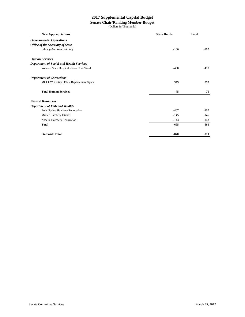#### **2017 Supplemental Capital Budget**

#### **Senate Chair/Ranking Member Budget**

| <b>New Appropriations</b>                       | <b>State Bonds</b> | <b>Total</b> |
|-------------------------------------------------|--------------------|--------------|
| <b>Governmental Operations</b>                  |                    |              |
| <b>Office of the Secretary of State</b>         |                    |              |
| Library-Archives Building                       | $-100$             | $-100$       |
| <b>Human Services</b>                           |                    |              |
| <b>Department of Social and Health Services</b> |                    |              |
| Western State Hospital - New Civil Ward         | $-450$             | $-450$       |
| <b>Department of Corrections</b>                |                    |              |
| MCCCW: Critical DNR Replacement Space           | 375                | 375          |
| <b>Total Human Services</b>                     | $-75$              | $-75$        |
| <b>Natural Resources</b>                        |                    |              |
| Department of Fish and Wildlife                 |                    |              |
| Eells Spring Hatchery Renovation                | $-407$             | $-407$       |
| Minter Hatchery Intakes                         | $-145$             | $-145$       |
| Naselle Hatchery Renovation                     | $-143$             | $-143$       |
| <b>Total</b>                                    | $-695$             | $-695$       |
| <b>Statewide Total</b>                          | $-870$             | $-870$       |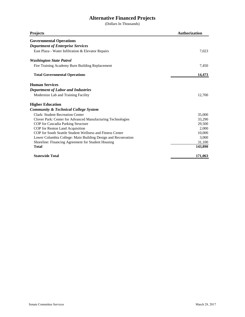# **Alternative Financed Projects**

| <b>Projects</b>                                              | <b>Authorization</b> |
|--------------------------------------------------------------|----------------------|
| <b>Governmental Operations</b>                               |                      |
| <b>Department of Enterprise Services</b>                     |                      |
| East Plaza - Water Infiltration & Elevator Repairs           | 7,023                |
| <b>Washington State Patrol</b>                               |                      |
| Fire Training Academy Burn Building Replacement              | 7,450                |
| <b>Total Governmental Operations</b>                         | 14,473               |
| <b>Human Services</b>                                        |                      |
| <b>Department of Labor and Industries</b>                    |                      |
| Modernize Lab and Training Facility                          | 12,700               |
| <b>Higher Education</b>                                      |                      |
| <b>Community &amp; Technical College System</b>              |                      |
| <b>Clark: Student Recreation Center</b>                      | 35,000               |
| Clover Park: Center for Advanced Manufacturing Technologies  | 33,290               |
| COP for Cascadia Parking Structure                           | 29,500               |
| COP for Renton Land Acquisition                              | 2,000                |
| COP for South Seattle Student Wellness and Fitness Center    | 10,000               |
| Lower Columbia College: Main Building Design and Reconvation | 3,000                |
| Shoreline: Financing Agreement for Student Housing           | 31,100               |
| <b>Total</b>                                                 | 143,890              |
| <b>Statewide Total</b>                                       | 171,063              |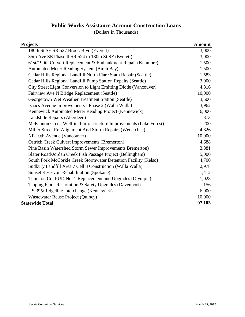# **Public Works Assistance Account Construction Loans**

| <b>Projects</b>                                                    | <b>Amount</b> |
|--------------------------------------------------------------------|---------------|
| 180th St SE SR 527 Brook Blvd (Everett)                            | 3,000         |
| 35th Ave SE Phase II SR 524 to 180th St SE (Everett)               | 3,000         |
| 61st/190th Culvert Replacement & Embankment Repair (Kenmore)       | 1,500         |
| Automated Meter Reading System (Birch Bay)                         | 1,500         |
| Cedar Hills Regional Landfill North Flare Statn Repair (Seattle)   | 1,583         |
| Cedar Hills Regional Landfill Pump Station Repairs (Seattle)       | 3,000         |
| City Street Light Conversion to Light Emitting Diode (Vancouver)   | 4,816         |
| Fairview Ave N Bridge Replacement (Seattle)                        | 10,000        |
| Georgetown Wet Weather Treatment Station (Seattle)                 | 3,500         |
| Isaacs Avenue Improvements - Phase 2 (Walla Walla)                 | 3,962         |
| Kennewick Automated Meter Reading Project (Kennewick)              | 6,000         |
| Landslide Repairs (Aberdeen)                                       | 373           |
| McKinnon Creek Wellfield Infrastructure Improvements (Lake Forest) | 200           |
| Miller Street Re-Alignment And Storm Repairs (Wenatchee)           | 4,826         |
| NE 10th Avenue (Vancouver)                                         | 10,000        |
| <b>Ostrich Creek Culvert Improvements (Bremerton)</b>              | 4,688         |
| Pine Basin Watershed Storm Sewer Improvements Bremerton)           | 3,881         |
| Slater Road/Jordan Creek Fish Passage Project (Bellingham)         | 5,000         |
| South Fork McCorkle Creek Stormwater Detention Facility (Kelso)    | 4,700         |
| Sudbury Landfill Area 7 Cell 3 Construction (Walla Walla)          | 2,978         |
| <b>Sunset Reservoir Rehabilitation (Spokane)</b>                   | 1,412         |
| Thurston Co. PUD No. 1 Replacement and Upgrades (Olympia)          | 1,028         |
| Tipping Floor Restoration & Safety Upgrades (Davenport)            | 156           |
| US 395/Ridgeline Interchange (Kennewick)                           | 6,000         |
| Wastewater Reuse Project (Quincy)                                  | 10,000        |
| <b>Statewide Total</b>                                             | 97,103        |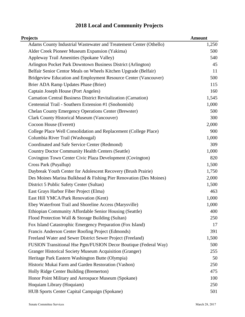| Projects                                                              | <b>Amount</b> |
|-----------------------------------------------------------------------|---------------|
| Adams County Industrial Wastewater and Treatement Center (Othello)    | 1,250         |
| Alder Creek Pioneer Museum Expansion (Yakima)                         | 500           |
| Appleway Trail Amenities (Spokane Valley)                             | 540           |
| Arlington Pocket Park Downtown Business District (Arlington)          | 45            |
| Belfair Senior Centor Meals on Wheels Kitchen Upgrade (Belfair)       | 11            |
| Bridgeview Education and Employment Resource Center (Vancouver)       | 500           |
| Brier ADA Ramp Updates Phase (Brier)                                  | 115           |
| Captain Joseph House (Port Angeles)                                   | 160           |
| <b>Carnation Central Business District Revitalization (Carnation)</b> | 1,545         |
| Centennial Trail - Southern Extension #1 (Snohomish)                  | 1,000         |
| <b>Chelan County Emergency Operations Center (Brewster)</b>           | 500           |
| <b>Clark County Historical Museum (Vancouver)</b>                     | 300           |
| Cocoon House (Everett)                                                | 2,000         |
| College Place Well Consolidation and Replacement (College Place)      | 900           |
| Columbia River Trail (Washougal)                                      | 1,000         |
| Coordinated and Safe Service Center (Redmond)                         | 309           |
| <b>Country Doctor Community Health Centers (Seattle)</b>              | 1,000         |
| Covington Town Center Civic Plaza Development (Covington)             | 820           |
| Cross Park (Puyallup)                                                 | 1,500         |
| Daybreak Youth Center for Adolescent Recovery (Brush Prairie)         | 1,750         |
| Des Moines Marina Bulkhead & Fishing Pier Renovation (Des Moines)     | 2,000         |
| District 5 Public Safety Center (Sultan)                              | 1,500         |
| East Grays Harbor Fiber Project (Elma)                                | 463           |
| East Hill YMCA/Park Renovation (Kent)                                 | 1,000         |
| Ebey Waterfront Trail and Shoreline Access (Marysville)               | 1,000         |
| Ethiopian Community Affordable Senior Housing (Seattle)               | 400           |
| Flood Protection Wall & Storage Building (Sultan)                     | 250           |
| Fox Island Catastrophic Emergency Preparation (Fox Island)            | 17            |
| Francis Anderson Center Roofing Project (Edmonds)                     | 391           |
| Freeland Water and Sewer District Sewer Project (Freeland)            | 1,500         |
| FUSION Transitional Hse Pgm/FUSION Decor Boutique (Federal Way)       | 500           |
| Granger Historical Society Museum Acquisition (Granger)               | 255           |
| Heritage Park Eastern Washington Butte (Olympia)                      | 50            |
| Historic Mukai Farm and Garden Restoration (Vashon)                   | 250           |
| Holly Ridge Center Building (Bremerton)                               | 475           |
| Honor Point Military and Aerospace Museum (Spokane)                   | 100           |
| Hoquiam Library (Hoquiam)                                             | 250           |
| HUB Sports Center Capital Campaign (Spokane)                          | 501           |

# **2018 Local and Community Projects**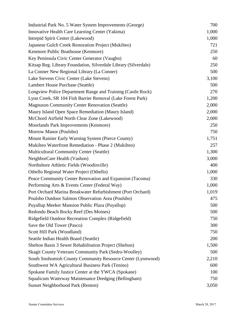| Industrial Park No. 5 Water System Improvements (George)        | 700   |
|-----------------------------------------------------------------|-------|
| Innovative Health Care Learning Center (Yakima)                 | 1,000 |
| Intrepid Spirit Center (Lakewood)                               | 1,000 |
| Japanese Gulch Creek Restoration Project (Mukilteo)             | 721   |
| Kenmore Public Boathouse (Kenmore)                              | 250   |
| Key Peninsula Civic Center Generator (Vaughn)                   | 60    |
| Kitsap Reg. Library Foundation, Silverdale Library (Silverdale) | 250   |
| La Conner New Regional Library (La Conner)                      | 500   |
| Lake Stevens Civic Center (Lake Stevens)                        | 3,100 |
| Lambert House Purchase (Seattle)                                | 500   |
| Longview Police Department Range and Training (Castle Rock)     | 270   |
| Lyon Creek, SR 104 Fish Barrier Removal (Lake Forest Park)      | 1,200 |
| <b>Magnuson Community Center Renovation (Seattle)</b>           | 2,000 |
| Maury Island Open Space Remediation (Maury Island)              | 2,000 |
| McChord Airfield North Clear Zone (Lakewood)                    | 2,000 |
| Moorlands Park Improvements (Kenmore)                           | 250   |
| Morrow Manor (Poulsbo)                                          | 750   |
| Mount Rainier Early Warning System (Pierce County)              | 1,751 |
| Mukilteo Waterfront Remediation - Phase 2 (Mukilteo)            | 257   |
| <b>Multicultural Community Center (Seattle)</b>                 | 1,300 |
| NeighborCare Health (Vashon)                                    | 3,000 |
| Northshore Athletic Fields (Woodinville)                        | 400   |
| Othello Regional Water Project (Othello)                        | 1,000 |
| Peace Community Center Renovation and Expansion (Tacoma)        | 330   |
| Performing Arts & Events Center (Federal Way)                   | 1,000 |
| Port Orchard Marina Breakwater Refurbishment (Port Orchard)     | 1,019 |
| Poulsbo Outdoor Salmon Observation Area (Poulsbo)               | 475   |
| Puyallup Meeker Mansion Public Plaza (Puyallup)                 | 500   |
| Redondo Beach Rocky Reef (Des Moines)                           | 500   |
| Ridgefield Outdoor Recreation Complex (Ridgefield)              | 750   |
| Save the Old Tower (Pasco)                                      | 300   |
| Scott Hill Park (Woodland)                                      | 750   |
| Seattle Indian Health Board (Seattle)                           | 200   |
| Shelton Basin 3 Sewer Rehabilitation Project (Shelton)          | 1,500 |
| <b>Skagit County Veterans Community Park (Sedro-Woolley)</b>    | 500   |
| South Snohomish County Community Resource Center (Lynnwood)     | 2,210 |
| Southwest WA Agricultural Business Park (Tenino)                | 600   |
| Spokane Family Justice Center at the YWCA (Spokane)             | 100   |
| Squalicum Waterway Maintenance Dredging (Bellingham)            | 750   |
| <b>Sunset Neighborhood Park (Renton)</b>                        | 3,050 |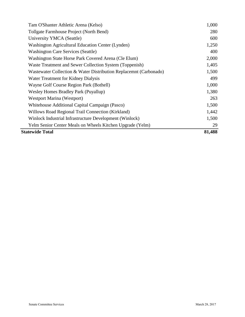| <b>Statewide Total</b>                                            | 81,488 |
|-------------------------------------------------------------------|--------|
| Yelm Senior Center Meals on Wheels Kitchen Upgrade (Yelm)         | 29     |
| Winlock Industrial Infrastructure Development (Winlock)           | 1,500  |
| Willows Road Regional Trail Connection (Kirkland)                 | 1,442  |
| Whitehouse Additional Capital Campaign (Pasco)                    | 1,500  |
| Westport Marina (Westport)                                        | 263    |
| Wesley Homes Bradley Park (Puyallup)                              | 1,380  |
| Wayne Golf Course Region Park (Bothell)                           | 1,000  |
| Water Treatment for Kidney Dialysis                               | 499    |
| Wastewater Collection & Water Distribution Replacemnt (Carbonado) | 1,500  |
| Waste Treatment and Sewer Collection System (Toppenish)           | 1,405  |
| Washington State Horse Park Covered Arena (Cle Elum)              | 2,000  |
| <b>Washington Care Services (Seattle)</b>                         | 400    |
| Washington Agricultural Education Center (Lynden)                 | 1,250  |
| University YMCA (Seattle)                                         | 600    |
| Tollgate Farmhouse Project (North Bend)                           | 280    |
| Tam O'Shanter Athletic Arena (Kelso)                              | 1,000  |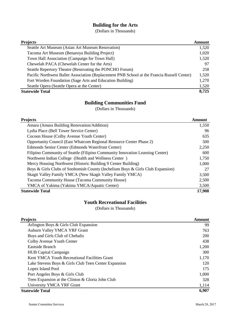#### **Building for the Arts**

(Dollars in Thousands)

| <b>Projects</b>                                                                             | Amount |
|---------------------------------------------------------------------------------------------|--------|
| Seattle Art Museum (Asian Art Museum Renovation)                                            | 1,520  |
| Tacoma Art Museum (Benaroya Building Project)                                               | 1,020  |
| Town Hall Association (Campaign for Town Hall)                                              | 1,520  |
| Chewelah PACA (Chewelah Center for the Arts)                                                | 97     |
| Seattle Repertory Theatre (Renovating the PONCHO Forum)                                     | 258    |
| Pacific Northwest Ballet Association (Replacement PNB School at the Francia Russell Center) | 1,520  |
| Fort Worden Foundation (Sage Arts and Education Building)                                   | 1,270  |
| Seattle Opera (Seattle Opera at the Center)                                                 | 1,520  |
| <b>Statewide Total</b>                                                                      | 8,725  |

# **Building Communities Fund**

(Dollars in Thousands)

| Projects                                                                       | Amount |
|--------------------------------------------------------------------------------|--------|
| Amara (Amara Building Renovation/Addition)                                     | 1,550  |
| Lydia Place (Bell Tower Service Center)                                        | 96     |
| Cocoon House (Colby Avenue Youth Center)                                       | 635    |
| Opportunity Council (East Whatcom Regional Resource Center Phase 2)            | 500    |
| Edmonds Senior Center (Edmonds Waterfront Center)                              | 2,250  |
| Filipino Community of Seattle (Filipino Community Innovation Learning Center)  | 600    |
| Northwest Indian College (Health and Wellness Center)                          | 1,750  |
| Mercy Housing Northwest (Historic Building 9 Center Building)                  | 1,000  |
| Boys & Girls Clubs of Snohomish County (Inchelium Boys & Girls Club Expansion) | 27     |
| Skagit Valley Family YMCA (New Skagit Valley Family YMCA)                      | 3,500  |
| Tacoma Community House (Tacoma Community House)                                | 2,500  |
| YMCA of Yakima (Yakima YMCA/Aquatic Center)                                    | 3,500  |
| <b>Statewide Total</b>                                                         | 17,908 |

#### **Youth Recreational Facilities**

| <b>Projects</b>                                      | <b>Amount</b> |
|------------------------------------------------------|---------------|
| Arlington Boys & Girls Club Expansion                | 99            |
| Auburn Valley YMCA YRF Grant                         | 763           |
| Boys and Girls Club of Chehalis                      | 200           |
| Colby Avenue Youth Center                            | 438           |
| Eastside Branch                                      | 1,200         |
| <b>HUB</b> Capital Campaign                          | 300           |
| Kent YMCA Youth Recreational Facilities Grant        | 1,170         |
| Lake Stevens Boys & Girls Club Teen Center Expansion | 120           |
| Lopez Island Pool                                    | 175           |
| Port Angeles Boys & Girls Club                       | 1,000         |
| Teen Expansion at the Clinton & Gloria John Club     | 328           |
| University YMCA YRF Grant                            | 1,114         |
| <b>Statewide Total</b>                               | 6,907         |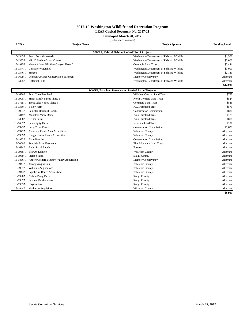#### **LEAP Capital Document No. 2017-21**

**Developed March 28, 2017**

|  | (Dollars in Thousands) |
|--|------------------------|
|--|------------------------|

| RCO#     | <b>Project Name</b>                       |                                                            | <b>Project Sponsor</b>                     | <b>Funding Level</b> |
|----------|-------------------------------------------|------------------------------------------------------------|--------------------------------------------|----------------------|
|          |                                           |                                                            |                                            |                      |
| 16-1343A | South Fork Manastash                      | <b>WWRP, Critical Habitat Ranked List of Projects</b>      |                                            | \$1,500              |
| 16-1333A | Mid Columbia Grand Coulee                 |                                                            | Washington Department of Fish and Wildlife | \$3,000              |
|          |                                           |                                                            | Washington Department of Fish and Wildlife |                      |
| 16-1915A | Mount Adams Klickitat Canyon Phase 2      |                                                            | Columbia Land Trust                        | \$2,441              |
| 16-1344A | Cowiche Watershed                         |                                                            | Washington Department of Fish and Wildlife | \$3,000              |
| 16-1346A | Simcoe                                    |                                                            | Washington Department of Fish and Wildlife | \$2,140              |
| 16-1699A | Lehman Uplands Conservation Easement      |                                                            | Methow Conservancy                         | Alternate            |
|          | 16-1325A Hoffstadt Hills                  |                                                            | Washington Department of Fish and Wildlife | Alternate            |
|          |                                           |                                                            |                                            | \$12,081             |
|          |                                           | <b>WWRP, Farmland Preservation Ranked List of Projects</b> |                                            |                      |
| 16-1660A | Penn Cove Farmland                        |                                                            | Whidbey Camano Land Trust                  | \$755                |
| 16-1908A | Smith Family Farms Phase 1                |                                                            | North Olympic Land Trust                   | \$524                |
| 16-1765A | Trout Lake Valley Phase 3                 |                                                            | Columbia Land Trust                        | \$845                |
| 16-1360A | <b>Bailey Farm</b>                        |                                                            | <b>PCC Farmland Trust</b>                  | \$570                |
| 16-1924A | Schuster Hereford Ranch                   |                                                            | <b>Conservation Commission</b>             | \$881                |
| 16-1319A | Mountain View Dairy                       |                                                            | <b>PCC Farmland Trust</b>                  | \$779                |
| 16-1358A | Reiner Farm                               |                                                            | <b>PCC Farmland Trust</b>                  | \$814                |
| 16-1637A | Serendipity Farm                          |                                                            | Jefferson Land Trust                       | \$107                |
|          | 16-1923A Lazy Cross Ranch                 |                                                            | <b>Conservation Commission</b>             | \$1,629              |
|          | 16-1942A Anderson Creek Area Acquisitions |                                                            | <b>Whatcom County</b>                      | Alternate            |
|          | 16-1939A Cougar Creek Ranch Acquisition   |                                                            | <b>Whatcom County</b>                      | Alternate            |
| 16-1922A | <b>Blain Ranches</b>                      |                                                            | <b>Conservation Commission</b>             | Alternate            |
| 16-2009A | Seachris Farm Easement                    |                                                            | <b>Blue Mountain Land Trust</b>            | Alternate            |
| 16-1634A | Rader Road Ranch                          |                                                            | Forterra                                   | Alternate            |
| 16-1938A | <b>Brar Acquisition</b>                   |                                                            | <b>Whatcom County</b>                      | Alternate            |
| 16-1989A | Pierson Farm                              |                                                            | <b>Skagit County</b>                       | Alternate            |
| 16-1866A | Anders Orchard Methow Valley Acquisition  |                                                            | Methow Conservancy                         | Alternate            |
| 16-1941A | Jacoby Acquisition                        |                                                            | <b>Whatcom County</b>                      | Alternate            |
|          | 16-1937A Williams Acquisitions            |                                                            | <b>Whatcom County</b>                      | Alternate            |
| 16-1943A | <b>Squalicum Ranch Acquisition</b>        |                                                            | <b>Whatcom County</b>                      | Alternate            |
| 16-1990A | Nelson Ploeg Farm                         |                                                            | <b>Skagit County</b>                       | Alternate            |
| 16-1987A | Sakuma Brothers Farm                      |                                                            | <b>Skagit County</b>                       | Alternate            |
| 16-1963A | <b>Hayton Farm</b>                        |                                                            | <b>Skagit County</b>                       | Alternate            |
|          | 16-1944A Matheson Acquisition             |                                                            | <b>Whatcom County</b>                      | Alternate            |

**\$6,903**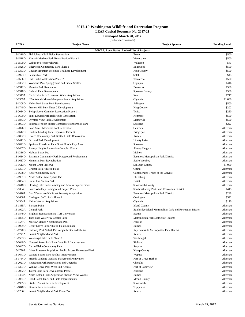#### **LEAP Capital Document No. 2017-21**

**Developed March 28, 2017**

| RCO #                                            | <b>Project Name</b>                                      | Project Sponsor                                             | <b>Funding Level</b> |  |  |
|--------------------------------------------------|----------------------------------------------------------|-------------------------------------------------------------|----------------------|--|--|
| <b>WWRP, Local Parks Ranked List of Projects</b> |                                                          |                                                             |                      |  |  |
| 16-1310D                                         | Phil Johnson Ball Fields Renovation                      | Everett                                                     | \$500                |  |  |
| 16-1518D                                         | Kiwanis Methow Park Revitalization Phase 1               | Wenatchee                                                   | \$500                |  |  |
| 16-1500D                                         | Wilkeson's Roosevelt Park                                | Wilkeson                                                    | \$43                 |  |  |
| 16-1826D                                         | Edgewood Community Park Phase 1                          | Edgewood                                                    | \$500                |  |  |
| 16-1363D                                         | Cougar Mountain Precipice Trailhead Development          | <b>King County</b>                                          | \$500                |  |  |
| 16-1973D                                         | Selah Skate Park                                         | Selah                                                       | \$45                 |  |  |
|                                                  |                                                          | Wenatchee                                                   | \$500                |  |  |
| 16-1666D                                         | Hale Park Construction Phase 2                           |                                                             |                      |  |  |
| 16-1382D                                         | Woodruff Park Sprayground and Picnic Shelter             | Olympia                                                     | \$446                |  |  |
| 16-1312D                                         | <b>Manette Park Renovation</b>                           | <b>Bremerton</b>                                            | \$500                |  |  |
| 16-1918D                                         | <b>Bidwell Park Development</b>                          | Spokane County                                              | \$500                |  |  |
| 16-1513A                                         | Clark Lake Park Expansion Walla Acquisition              | Kent                                                        | \$717                |  |  |
| 16-1359A                                         | LBA Woods Morse Merryman Parcel Acquisition              | Olympia                                                     | \$1,000              |  |  |
| 16-1308D                                         | Haller Park Spray Park Development                       | Arlington                                                   | \$500                |  |  |
| 16-1740D                                         | Preston Mill Park Phase 2 Development                    | <b>King County</b>                                          | \$202                |  |  |
| 16-2084D                                         | Twisp Sports Complex Renovation Phase 1                  | Twisp                                                       | \$250                |  |  |
| 16-1609D                                         | Saint Edward Park Ball Fields Renovation                 | Kenmore                                                     | \$500                |  |  |
| 16-1843D                                         | Olympic View Park Development                            | Marysville                                                  | \$500                |  |  |
| 16-1903D                                         | Southeast Youth Sports Complex Neighborhood Park         | Spokane                                                     | \$227                |  |  |
| 16-2076D                                         | Pearl Street Memorial Pool Renovation                    | Centralia                                                   | Alternate            |  |  |
| 16-1612D                                         | Conklin Landing Park Expansion Phase 3                   | Bridgeport                                                  | Alternate            |  |  |
| 16-1802D                                         | Ilwaco Community Park Softball Field Renovation          | Ilwaco                                                      | Alternate            |  |  |
| 16-1411D                                         | <b>Orchard Park Development</b>                          | Liberty Lake                                                | Alternate            |  |  |
| 16-1821D                                         | Spokane Riverfront Park Great Floods Play Area           | Spokane                                                     | Alternate            |  |  |
| 16-1467D                                         | Airway Heights Recreation Complex Phase 1                | Airway Heights                                              | Alternate            |  |  |
| 16-1316D                                         | Mabton Spray Pad                                         | Mabton                                                      | Alternate            |  |  |
| 16-1614D                                         | Eastmont Community Park Playground Replacement           | Eastmont Metropolitan Park District                         | Alternate            |  |  |
| 16-1617D                                         | <b>Memorial Park Revitalzation</b>                       | Sedro Woolley                                               | Alternate            |  |  |
|                                                  | 16-1613A Mount Grant Preserve                            | San Juan County                                             | \$1,000              |  |  |
| 16-1391D                                         | Gratzer Park Athletic Field                              | Orting                                                      | Alternate            |  |  |
| 16-1688D                                         | Keller Community Park                                    | Confederated Tribes of the Colville                         | Alternate            |  |  |
| 16-1961D                                         | North Alder Street Splash Pad                            | Ellensburg                                                  | Alternate            |  |  |
| 16-1854D                                         | <b>Entiat Fire Station Park</b>                          | Entiat                                                      | Alternate            |  |  |
| 16-1618D                                         | Flowing Lake Park Camping and Access Improvements        | Snohomish County                                            | Alternate            |  |  |
| 16-1884C                                         | South Whidbey Campground Project Phase 1                 | South Whidbey Parks and Recreation District                 | \$415                |  |  |
| 16-1616A                                         | East Wenatchee 9th Street Property Acquisition           | Eastmont Metropolitan Park District                         | \$248                |  |  |
| 16-1680A                                         | Covington SoCo Park Phase 2                              | Covington                                                   | \$592                |  |  |
| 16-1384A                                         | Kaiser Woods Acquisition                                 | Olympia                                                     | \$170                |  |  |
| 16-1835A                                         | <b>Barnum Point</b>                                      | <b>Island County</b>                                        | Alternate            |  |  |
| 16-1992A                                         | Central Park                                             | Bainbridge Island Metropolitan Park and Recreation District | Alternate            |  |  |
| 16-1879D                                         | Brighton Renovation and Turf Conversion                  | Seattle                                                     | Alternate            |  |  |
| 16-1865D                                         | Thea Foss Waterway Central Park                          | Metropolitan Park District of Tacoma                        | Alternate            |  |  |
| 16-1547C                                         | Morrow Manor Neighborhood Park                           | Poulsbo                                                     | Alternate            |  |  |
| 16-1959D                                         | Cedar Grove Park Athletic Field Drainage                 | Bothell                                                     | Alternate            |  |  |
| 16-1770D                                         |                                                          | Key Peninsula Metropolitan Park District                    | Alternate            |  |  |
|                                                  | Gateway Park Splash Pad Amphitheater and Shelter         |                                                             |                      |  |  |
| 16-1771A                                         | Sunset Neighborhood Park                                 | Renton                                                      | Alternate            |  |  |
| 16-1503D                                         | Washougal Bike Park Phase 2                              | Washougal                                                   | Alternate            |  |  |
| 16-2040D                                         | Howard Amon Park Riverfront Trail Improvements           | Richland                                                    | Alternate            |  |  |
| 16-2047D                                         | Carrie Blake Community Park                              | Sequim                                                      | Alternate            |  |  |
| 16-1720A                                         | Ilahee Preserve Acquisition Public Access Homestead Park | <b>Kitsap County</b>                                        | Alternate            |  |  |
| 16-1641D                                         | Wapato Sports Park Facility Improvements                 | Wapato                                                      | Alternate            |  |  |
| 16-1754D                                         | Friends Landing Trail and Playground Renovation          | Port of Grays Harbor                                        | Alternate            |  |  |
| 16-2021D                                         | Recreation Park Renovations and Upgrades                 | Chehalis                                                    | Alternate            |  |  |
| 16-1357D                                         | Willow Grove Park West End Access                        | Port of Longview                                            | Alternate            |  |  |
| 16-2082D                                         | Totem Lake Park Development Phase 1                      | Kirkland                                                    | Alternate            |  |  |
| 16-1433A                                         | North Bothell Park Acquisition Shelton View Woods        | Bothell                                                     | Alternate            |  |  |
| 16-2034D                                         | Hood Canal Track and Field Improvements                  | <b>Mason County</b>                                         | Alternate            |  |  |
| 16-1995D                                         | Fischer Pocket Park Redevelopment                        | Snohomish                                                   | Alternate            |  |  |
| 16-1848D                                         | Pioneer Park Renovation                                  | Toppenish                                                   | Alternate            |  |  |
| 16-1706C                                         | Sunset Neighborhood Park Phase 2W                        | Renton                                                      | Alternate            |  |  |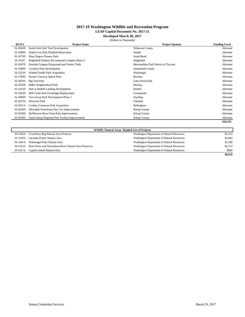#### **LEAP Capital Document No. 2017-21**

**Developed March 28, 2017**

|  |  | (Dollars in Thousands) |  |
|--|--|------------------------|--|
|--|--|------------------------|--|

| RCO#     | <b>Project Name</b>                              | <b>Project Sponsor</b>               | <b>Funding Level</b> |
|----------|--------------------------------------------------|--------------------------------------|----------------------|
| 16-2065D | South Fork Park Trail Development                | <b>Whatcom County</b>                | Alternate            |
| 16-1880D | Smith Cove Park Playfield Renovation             | Seattle                              | Alternate            |
| 16-1673D | Mary Rogers Pioneer Park                         | South Bend                           | Alternate            |
| 16-1932C | Ridgefield Outdoor Recreational Complex Phase 2  | Ridgefield                           | Alternate            |
| 16-1867D | Eastside Campus Playground and Nature Trails     | Metropolitan Park District of Tacoma | Alternate            |
| 16-1968D | Cavalero Park Development                        | Snohomish County                     | Alternate            |
| 16-1353A | Schmid Family Park Acquisition                   | Washougal                            | Alternate            |
| 16-1700D | Rainier Gateway Splash Park                      | Buckley                              | Alternate            |
| 16-1819A | Big Tree Park                                    | Lake Forest Park                     | Alternate            |
| 16-2022D | Miller Neighborhood Park                         | Buckley                              | Alternate            |
| 16-1415D | Park at Bothell Landing Development              | <b>Bothell</b>                       | Alternate            |
| 16-1962D | Mill Creek Park Footbridge Replacement           | Cosmopolis                           | Alternate            |
| 16-1806D | Van Lierop Park Development Phase 1              | Puyallup                             | Alternate            |
| 16-1927D | Discover! Park                                   | Chehalis                             | Alternate            |
| 16-1831A | Cordata Commons Park Acquisition                 | Bellingham                           | Alternate            |
| 16-2026D | Silverdale Waterfront Day Use Improvements       | <b>Kitsap County</b>                 | Alternate            |
| 16-2029D | McPherson Howe Farm Park Improvements            | <b>Kitsap County</b>                 | Alternate            |
| 16-2028D | South Kitsap Regional Park Facility Improvements | <b>Kitsap County</b>                 | Alternate            |
|          |                                                  |                                      | \$10,355             |

| <b>WWRP, Natural Areas Ranked List of Projects</b> |                                                       |                                            |         |
|----------------------------------------------------|-------------------------------------------------------|--------------------------------------------|---------|
|                                                    | 16-1416A Crowberry Bog Natural Area Preserve          | Washington Department of Natural Resources | \$1,572 |
| 16-1419A                                           | Lacamas Prairie Natural Area                          | Washington Department of Natural Resources | \$2,602 |
|                                                    | 16-1441A Washougal Oaks Natural Area                  | Washington Department of Natural Resources | \$1,338 |
| 16-1412A                                           | Bone River and Niawiakum River Natural Area Preserves | Washington Department of Natural Resources | \$2,212 |
|                                                    | 16-1417A Cypress Island Natural Area                  | Washington Department of Natural Resources | \$906   |
|                                                    |                                                       |                                            | \$8,629 |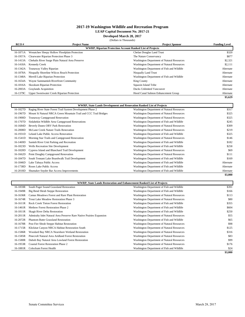#### **LEAP Capital Document No. 2017-21**

**Developed March 28, 2017**

|          | (Dollars in Thousands)                           |                                                                  |                      |
|----------|--------------------------------------------------|------------------------------------------------------------------|----------------------|
| RCO#     | <b>Project Name</b>                              | <b>Project Sponsor</b>                                           | <b>Funding Level</b> |
|          |                                                  | <b>WWRP, Riparian Protection Account Ranked List of Projects</b> |                      |
| 16-1871A | Wenatchee Sleepy Hollow Floodplain Protection    | Chelan Douglas Land Trust                                        | \$320                |
| 16-1957A | Clearwater Riparian Protection Phase 3           | The Nature Conservancy                                           | \$877                |
| 16-1413A | Chehalis River Surge Plain Natural Area Preserve | Washington Department of Natural Resources                       | \$2,321              |
| 16-1418A | <b>Kennedy Creek</b>                             | Washington Department of Natural Resources                       | \$2,111              |
| 16-1342A | Teanaway Valley Riparian                         | Washington Department of Fish and Wildlife                       | Alternate            |
| 16-1878A | Nisqually Shoreline Wilcox Reach Protection      | <b>Nisqually Land Trust</b>                                      | Alternate            |
| 16-1348A | Merrill Lake Riparian Protection                 | Washington Department of Fish and Wildlife                       | Alternate            |
| 16-1654A | Wayne Sammamish Riverfront Community             | <b>King County</b>                                               | Alternate            |
| 16-1816A | Skookum Riparian Protection                      | Squaxin Island Tribe                                             | Alternate            |
| 16-2003A | <b>Graylands Acquisition</b>                     | <b>Ducks Unlimited Vancouver</b>                                 | Alternate            |
| 16-1379C | Upper Sweetwater Creek Riparian Protection       | Hood Canal Salmon Enhancement Group                              | Alternate            |
|          |                                                  |                                                                  | \$5,629              |

|          |                                                                  | <b>WWRP, State Lands Development and Renovation Ranked List of Projects</b> |           |
|----------|------------------------------------------------------------------|-----------------------------------------------------------------------------|-----------|
| 16-1827D | Raging River State Forest Trail System Development Phase 2       | Washington Department of Natural Resources                                  | \$317     |
| 16-1967D | Mount Si Natural NRCA Green Mountain Trail and CCC Trail Bridges | Washington Department of Natural Resources                                  | \$325     |
| 16-1900D | Teanaway Campground Renovation                                   | Washington Department of Natural Resources                                  | \$325     |
| 16-1707D | Sinlahekin Wildlife Area Campground Renovations                  | Washington Department of Fish and Wildlife                                  | \$245     |
| 16-1684D | Beverly Dunes ORV Park Renovation                                | Washington Department of Natural Resources                                  | \$309     |
| 16-2008D | McLane Creek Nature Trails Renovation                            | Washington Department of Natural Resources                                  | \$219     |
| 16-1931D | Leland Lake Public Access Renovation                             | Washington Department of Fish and Wildlife                                  | \$325     |
| 16-1541D | Morning Star Trails and Campground Renovation                    | Washington Department of Natural Resources                                  | \$146     |
| 16-1469D | Samish River Unit Parking and Recreation                         | Washington Department of Fish and Wildlife                                  | \$182     |
| 16-1823D | <b>Wells Recreation Site Development</b>                         | Washington Department of Fish and Wildlife                                  | \$258     |
| 16-1820D | Cypress Island and Blanchard Trail Development                   | Washington Department of Natural Resources                                  | \$69      |
| 16-1662D | Point Doughty Campground Renovation                              | Washington Department of Natural Resources                                  | \$111     |
| 16-1847D | South Tennant Lake Boardwalk Trail Development                   | Washington Department of Fish and Wildlife                                  | \$169     |
| 16-1846D | Lake Tahuya Public Access                                        | Washington Department of Fish and Wildlife                                  | Alternate |
| 16-1738D | Roses Lake Public Access                                         | Washington Department of Fish and Wildlife                                  | Alternate |
| 16-2018D | Shumaker Snyder Bar Access Improvements                          | Washington Department of Fish and Wildlife                                  | Alternate |
|          |                                                                  |                                                                             | \$3,000   |

|          | <b>WWRP, State Lands Restoration and Enhancement Ranked List of Projects</b> |                                            |         |  |
|----------|------------------------------------------------------------------------------|--------------------------------------------|---------|--|
| 16-1859R | South Puget Sound Grassland Restoration                                      | Washington Department of Fish and Wildlife | \$391   |  |
| 16-1949R | Big Bend Shrub Steppe Restoration                                            | Washington Department of Fish and Wildlife | \$166   |  |
| 16-1636R | Camas Meadows Forest and Rare Plant Restoration                              | Washington Department of Natural Resources | \$113   |  |
| 16-1674R | Trout Lake Meadow Restoration Phase 3                                        | Washington Department of Natural Resources | \$80    |  |
| 16-1611R | <b>Rock Creek Tieton Forest Restoration</b>                                  | Washington Department of Fish and Wildlife | \$355   |  |
| 16-1461R | Methow Forest Restoration Phase 2                                            | Washington Department of Fish and Wildlife | \$604   |  |
| 16-1811R | Skagit River Delta Restoration                                               | Washington Department of Fish and Wildlife | \$250   |  |
| 16-2011R | Admiralty Inlet Natural Area Preserve Rare Native Prairies Expansion         | Washington Department of Natural Resources | \$55    |  |
| 16-2072R | <b>Phantom Butte Grassland Restoration</b>                                   | Washington Department of Fish and Wildlife | \$65    |  |
| 16-1678R | Post Fire Shrub Steppe Habitat Restoration                                   | Washington Department of Natural Resources | \$98    |  |
| 16-1715R | Klickitat Canyon NRCA Habitat Restoration South                              | Washington Department of Natural Resources | \$125   |  |
| 16-1586R | Woodard Bay NRCA Nearshore Wetland Restoration                               | Washington Department of Natural Resources | \$316   |  |
| 16-1585R | Pinecroft Natural Area Aridland Forest Restoration                           | Washington Department of Natural Resources | \$83    |  |
| 16-1580R | Dabob Bay Natural Area Lowland Forest Restoration                            | Washington Department of Natural Resources | \$99    |  |
| 16-1953R | <b>Coastal Forest Restoration Phase 2</b>                                    | Washington Department of Natural Resources | \$176   |  |
| 16-1881R | Colockum Forest Health                                                       | Washington Department of Fish and Wildlife | \$24    |  |
|          |                                                                              |                                            | \$3,000 |  |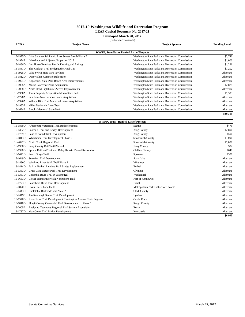#### **LEAP Capital Document No. 2017-21**

**Developed March 28, 2017** (Dollars in Thousands)

| RCO#     | <b>Project Name</b>                             | <b>Project Sponsor</b>                           | <b>Funding Level</b> |
|----------|-------------------------------------------------|--------------------------------------------------|----------------------|
|          |                                                 |                                                  |                      |
|          |                                                 | <b>WWRP, State Parks Ranked List of Projects</b> |                      |
| 16-1975D | Lake Sammamish Picnic Area Sunset Beach Phase 7 | Washington State Parks and Recreation Commission | \$2,740              |
| 16-1974A | Inholdings and Adjacent Properties 2016         | Washington State Parks and Recreation Commission | \$1,000              |
| 16-1886D | Iron Horse Renslow Trestle Decking and Railing  | Washington State Parks and Recreation Commission | \$1,236              |
| 16-1887D | The Klickitat Trail Bridging the Final Gap      | Washington State Parks and Recreation Commission | \$1,202              |
| 16-1925D | Lake Sylvia State Park Pavilion                 | Washington State Parks and Recreation Commission | Alternate            |
| 16-1812D | Dosewallips Campsite Relocation                 | Washington State Parks and Recreation Commission | Alternate            |
| 16-1994D | Kopachuck State Park Beach Area Improvements    | Washington State Parks and Recreation Commission | Alternate            |
| 16-1985A | Moran Lawrence Point Acquisition                | Washington State Parks and Recreation Commission | \$2,875              |
| 16-2068D | North Head Lighthouse Access Improvements       | Washington State Parks and Recreation Commission | Alternate            |
| 16-1950A | Jones Property Acquisition Moran State Park     | Washington State Parks and Recreation Commission | \$1,303              |
| 16-1728A | San Juan Area Harndon Island Acquisition        | Washington State Parks and Recreation Commission | Alternate            |
| 16-1926A | Willapa Hills Trail Marwood Farms Acquisition   | Washington State Parks and Recreation Commission | Alternate            |
| 16-1933A | Miller Peninsula Jones Trust                    | Washington State Parks and Recreation Commission | Alternate            |
| 16-1624A | <b>Brooks Memorial State Park</b>               | Washington State Parks and Recreation Commission | Alternate            |
|          |                                                 |                                                  | \$10,355             |
|          |                                                 |                                                  |                      |

| <b>WWRP, Trails Ranked List of Projects</b> |                                                                |                                      |           |
|---------------------------------------------|----------------------------------------------------------------|--------------------------------------|-----------|
| 16-1869D                                    | Arboretum Waterfront Trail Redevelopment                       | Seattle                              | \$475     |
| 16-1362D                                    | Foothills Trail and Bridge Development                         | <b>King County</b>                   | \$2,800   |
| 16-1739D                                    | Lake to Sound Trail Development                                | <b>King County</b>                   | \$500     |
| 16-1813D                                    | Whitehorse Trail Development Phase 2                           | <b>Snohomish County</b>              | \$1,090   |
| 16-2027D                                    | North Creek Regional Trail                                     | Snohomish County                     | \$1,000   |
| 16-1936D                                    | Ferry County Rail Trail Phase 4                                | Ferry County                         | \$82      |
| 16-1390D                                    | Spruce Railroad Trail and Daley Rankin Tunnel Restoration      | Clallam County                       | \$649     |
| 16-1471D                                    | South Gorge Trail                                              | Spokane                              | \$307     |
| 16-1649D                                    | Smokiam Trail Development                                      | Soap Lake                            | Alternate |
| 16-1830C                                    | Winthrop River Walk Trail Phase 2                              | Winthrop                             | Alternate |
| 16-1414D                                    | Park at Bothell Landing Trail Bridge Replacement               | Bothell                              | Alternate |
| 16-1383D                                    | Grass Lake Nature Park Trail Development                       | Olympia                              | Alternate |
| 16-1387D                                    | Columbia River Trail in Washougal                              | Washougal                            | Alternate |
| 16-1633D                                    | Clover Island Riverwalk Northshore Trail                       | Port of Kennewick                    | Alternate |
| 16-1773D                                    | Lakeshore Drive Trail Development                              | Entiat                               | Alternate |
| 16-1870D                                    | <b>Swan Creek Park Trails</b>                                  | Metropolitan Park District of Tacoma | Alternate |
| 16-1443D                                    | Chelatchie Railroad Trail Phase 2                              | <b>Clark County</b>                  | Alternate |
| 16-2019C                                    | Jim Kaemingk Senior Trail Development                          | Lynden                               | Alternate |
| 16-1576D                                    | River Front Trail Development: Huntington Avenue North Segment | <b>Castle Rock</b>                   | Alternate |
| 16-1818D                                    | Skagit County Centennial Trail Development<br>Phase 1          | <b>Skagit County</b>                 | Alternate |
| 16-2005A                                    | Roslyn to Teanaway Regional Trail System Acquisition           | Roslyn                               | Alternate |
| 16-1737D                                    | May Creek Trail Bridge Development                             | Newcastle                            | Alternate |
|                                             |                                                                |                                      | \$6,903   |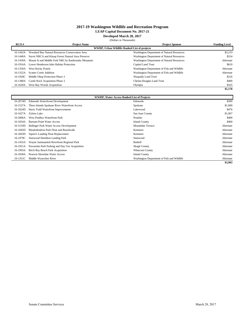#### **LEAP Capital Document No. 2017-21**

**Developed March 28, 2017**

(Dollars in Thousands)

| RCO#                                                | <b>Project Name</b>                                 | <b>Project Sponsor</b>                     | <b>Funding Level</b> |
|-----------------------------------------------------|-----------------------------------------------------|--------------------------------------------|----------------------|
| <b>WWRP, Urban Wildlife Ranked List of projects</b> |                                                     |                                            |                      |
| 16-1442A                                            | Woodard Bay Natural Resources Conservation Area     | Washington Department of Natural Resources | \$3,233              |
| 16-1440A                                            | Stavis NRCA and Kitsap Forest Natural Area Preserve | Washington Department of Natural Resources | \$554                |
| 16-1439A                                            | Mount Si and Middle Fork NRCAs Rattlesnake Mountain | Washington Department of Natural Resources | Alternate            |
| 16-1916A                                            | Lower Henderson Inlet Habitat Protection            | Capitol Land Trust                         | \$610                |
| 16-1350A                                            | West Rocky Prairie                                  | Washington Department of Fish and Wildlife | Alternate            |
| 16-1352A                                            | <b>Scatter Creek Addition</b>                       | Washington Department of Fish and Wildlife | Alternate            |
| 16-1920C                                            | Middle Ohop Protection Phase 3                      | Nisqually Land Trust                       | \$216                |
| 16-1380A                                            | Castle Rock Acquisition Phase 2                     | Chelan-Douglas Land Trust                  | \$400                |
| 16-1620A                                            | West Bay Woods Acquisition                          | Olympia                                    | \$165                |
|                                                     |                                                     |                                            | \$5,178              |

| <b>WWRP, Water Access Ranked List of Projects</b> |                                                 |                                            |           |
|---------------------------------------------------|-------------------------------------------------|--------------------------------------------|-----------|
| 16-2074D                                          | <b>Edmonds Waterfrront Development</b>          | Edmonds                                    | \$500     |
| 16-1527A                                          | Three Islands Spokane River Waterfront Access   | Spokane                                    | \$1,000   |
| 16-1824D                                          | Harry Todd Waterfront Improvements              | Lakewood                                   | \$476     |
| 16-1627A                                          | Zylstra Lake                                    | San Juan County                            | \$1,067   |
| 16-2006A                                          | West Poulbso Waterfront Park                    | Poulsbo                                    | \$400     |
| 16-1834A                                          | <b>Barnum Point Water Access</b>                | <b>Island County</b>                       | \$460     |
| 16-1510D                                          | Ballinger Park Water Access Development         | Mountlake Terrace                          | Alternate |
| 16-1692D                                          | Rhododendron Park Float and Boardwalk           | Kenmore                                    | Alternate |
| 16-1603D                                          | Squire's Landing Float Replacement              | Kenmore                                    | Alternate |
| 16-1979C                                          | <b>Stanwood Hamilton Landing Park</b>           | Stanwood                                   | Alternate |
| 16-1435A                                          | Wayne Sammamish Riverfront Regional Park        | <b>Bothell</b>                             | Alternate |
| 16-1921A                                          | Pressentin Park Parking and Day Use Acquisition | <b>Skagit County</b>                       | Alternate |
| 16-1993A                                          | <b>Birch Bay Beach Park Acquisition</b>         | <b>Whatcom County</b>                      | Alternate |
| 16-1838A                                          | Pearson Shoreline Water Access                  | <b>Island County</b>                       | Alternate |
| 16-1351C                                          | Middle Wynochee River                           | Washington Department of Fish and Wildlife | Alternate |
|                                                   |                                                 |                                            | \$3,903   |

Senate Committee Services March 28, 2017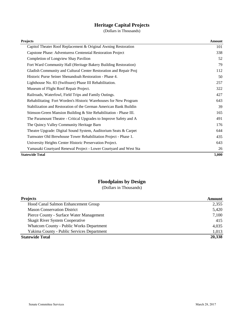# **Heritage Capital Projects**

(Dollars in Thousands)

| <b>Projects</b>                                                   | <b>Amount</b> |
|-------------------------------------------------------------------|---------------|
| Capitol Theater Roof Replacement & Original Awning Restoration    | 101           |
| Capstone Phase: Adventuress Centennial Restoration Project        | 338           |
| <b>Completion of Longview Shay Pavilion</b>                       | 52            |
| Fort Ward Community Hall (Heritage Bakery Building Restoration)   | 79            |
| Gladish Community and Cultural Center Restoration and Repair Proj | 112           |
| Historic Purse Seiner Shenandoah Restoration - Phase 4.           | 50            |
| Lighthouse No. 83 (Swiftsure) Phase III Rehabilitation.           | 257           |
| Museum of Flight Roof Repair Project.                             | 322           |
| Railroads, Waterfowl, Field Trips and Family Outings.             | 427           |
| Rehabilitating Fort Worden's Historic Warehouses for New Program  | 643           |
| Stabilization and Restoration of the German American Bank Buildin | 39            |
| Stimson-Green Mansion Building & Site Rehabilitation - Phase III. | 165           |
| The Paramount Theatre - Critical Upgrades to Improve Safety and A | 491           |
| The Quincy Valley Community Heritage Barn                         | 176           |
| Theatre Upgrade: Digital Sound System, Auditorium Seats & Carpet  | 644           |
| Tumwater Old Brewhouse Tower Rehabilitation Project - Phase 1.    | 435           |
| University Heights Center Historic Preservation Project.          | 643           |
| Yamasaki Courtyard Renewal Project - Lower Courtyard and West Sta | 26            |
| <b>Statewide Total</b>                                            | 5,000         |

# **Floodplains by Design**

| <b>Projects</b>                            | Amount |
|--------------------------------------------|--------|
| Hood Canal Salmon Enhancement Group        | 2,355  |
| <b>Mason Conservation District</b>         | 5,420  |
| Pierce County - Surface Water Management   | 7,100  |
| <b>Skagit River System Cooperative</b>     | 415    |
| Whatcom County - Public Works Department   | 4,035  |
| Yakima County - Public Services Department | 1,013  |
| <b>Statewide Total</b>                     | 20,338 |